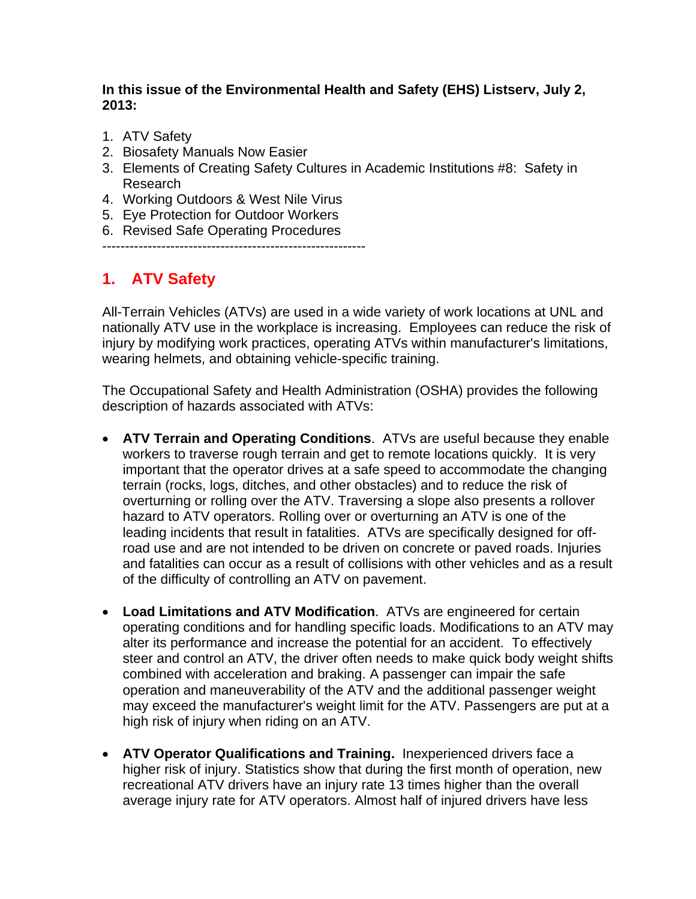#### **In this issue of the Environmental Health and Safety (EHS) Listserv, July 2, 2013:**

- 1. ATV Safety
- 2. Biosafety Manuals Now Easier
- 3. Elements of Creating Safety Cultures in Academic Institutions #8: Safety in Research
- 4. Working Outdoors & West Nile Virus
- 5. Eye Protection for Outdoor Workers
- 6. Revised Safe Operating Procedures

----------------------------------------------------------

## **1. ATV Safety**

All-Terrain Vehicles (ATVs) are used in a wide variety of work locations at UNL and nationally ATV use in the workplace is increasing. Employees can reduce the risk of injury by modifying work practices, operating ATVs within manufacturer's limitations, wearing helmets, and obtaining vehicle-specific training.

The Occupational Safety and Health Administration (OSHA) provides the following description of hazards associated with ATVs:

- **ATV Terrain and Operating Conditions**. ATVs are useful because they enable workers to traverse rough terrain and get to remote locations quickly. It is very important that the operator drives at a safe speed to accommodate the changing terrain (rocks, logs, ditches, and other obstacles) and to reduce the risk of overturning or rolling over the ATV. Traversing a slope also presents a rollover hazard to ATV operators. Rolling over or overturning an ATV is one of the leading incidents that result in fatalities. ATVs are specifically designed for offroad use and are not intended to be driven on concrete or paved roads. Injuries and fatalities can occur as a result of collisions with other vehicles and as a result of the difficulty of controlling an ATV on pavement.
- **Load Limitations and ATV Modification**. ATVs are engineered for certain operating conditions and for handling specific loads. Modifications to an ATV may alter its performance and increase the potential for an accident. To effectively steer and control an ATV, the driver often needs to make quick body weight shifts combined with acceleration and braking. A passenger can impair the safe operation and maneuverability of the ATV and the additional passenger weight may exceed the manufacturer's weight limit for the ATV. Passengers are put at a high risk of injury when riding on an ATV.
- **ATV Operator Qualifications and Training.** Inexperienced drivers face a higher risk of injury. Statistics show that during the first month of operation, new recreational ATV drivers have an injury rate 13 times higher than the overall average injury rate for ATV operators. Almost half of injured drivers have less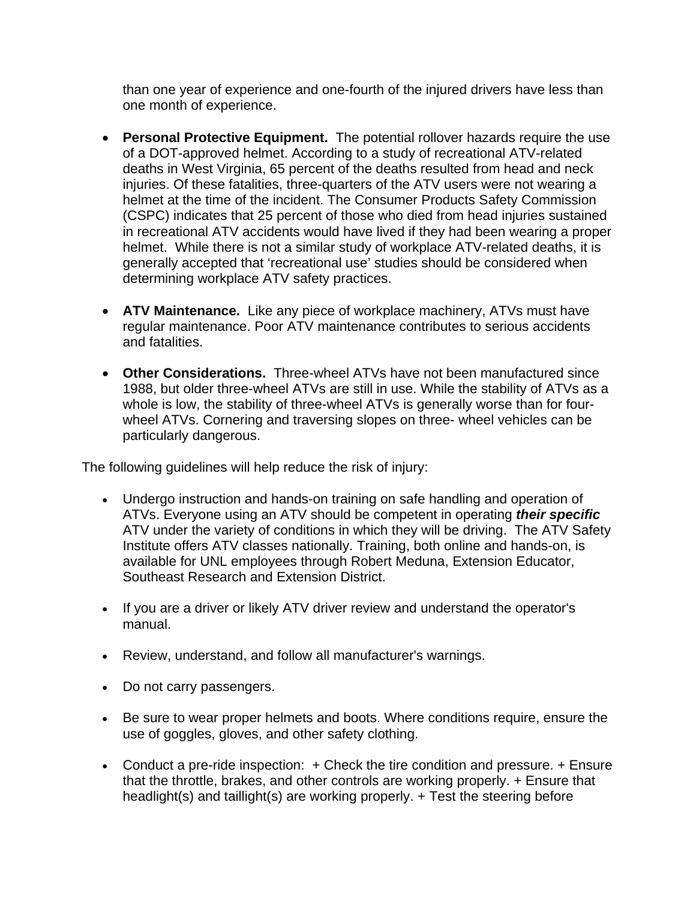than one year of experience and one-fourth of the injured drivers have less than one month of experience.

- **Personal Protective Equipment.** The potential rollover hazards require the use of a DOT-approved helmet. According to a study of recreational ATV-related deaths in West Virginia, 65 percent of the deaths resulted from head and neck injuries. Of these fatalities, three-quarters of the ATV users were not wearing a helmet at the time of the incident. The Consumer Products Safety Commission (CSPC) indicates that 25 percent of those who died from head injuries sustained in recreational ATV accidents would have lived if they had been wearing a proper helmet. While there is not a similar study of workplace ATV-related deaths, it is generally accepted that 'recreational use' studies should be considered when determining workplace ATV safety practices.
- **ATV Maintenance.** Like any piece of workplace machinery, ATVs must have regular maintenance. Poor ATV maintenance contributes to serious accidents and fatalities.
- **Other Considerations.** Three-wheel ATVs have not been manufactured since 1988, but older three-wheel ATVs are still in use. While the stability of ATVs as a whole is low, the stability of three-wheel ATVs is generally worse than for fourwheel ATVs. Cornering and traversing slopes on three- wheel vehicles can be particularly dangerous.

The following guidelines will help reduce the risk of injury:

- Undergo instruction and hands-on training on safe handling and operation of ATVs. Everyone using an ATV should be competent in operating *their specific* ATV under the variety of conditions in which they will be driving. The ATV Safety Institute offers ATV classes nationally. Training, both online and hands-on, is available for UNL employees through Robert Meduna, Extension Educator, Southeast Research and Extension District.
- If you are a driver or likely ATV driver review and understand the operator's manual.
- Review, understand, and follow all manufacturer's warnings.
- Do not carry passengers.
- Be sure to wear proper helmets and boots. Where conditions require, ensure the use of goggles, gloves, and other safety clothing.
- Conduct a pre-ride inspection: + Check the tire condition and pressure. + Ensure that the throttle, brakes, and other controls are working properly. + Ensure that headlight(s) and taillight(s) are working properly. + Test the steering before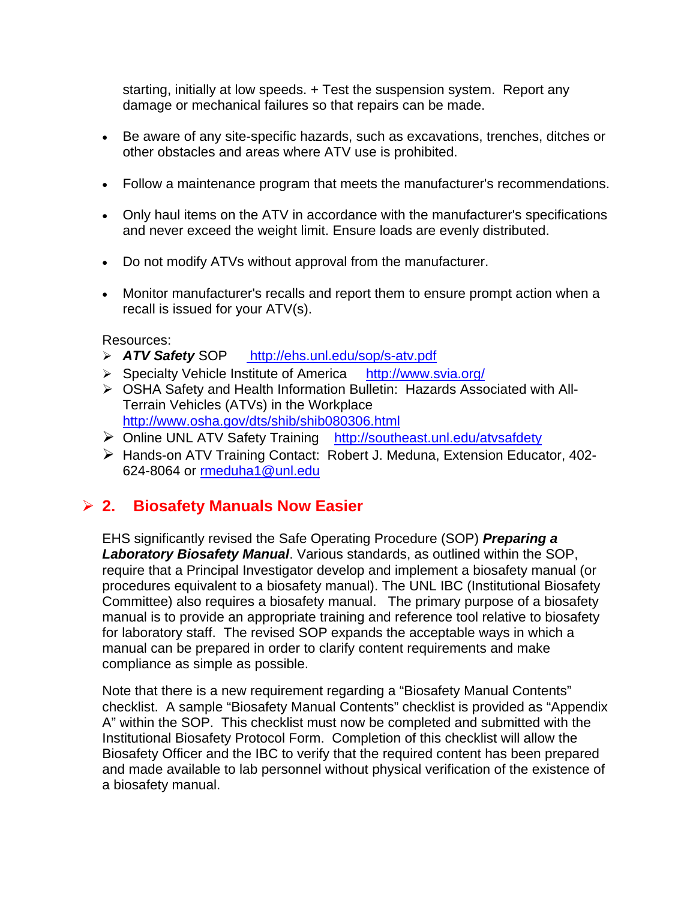starting, initially at low speeds. + Test the suspension system. Report any damage or mechanical failures so that repairs can be made.

- Be aware of any site-specific hazards, such as excavations, trenches, ditches or other obstacles and areas where ATV use is prohibited.
- Follow a maintenance program that meets the manufacturer's recommendations.
- Only haul items on the ATV in accordance with the manufacturer's specifications and never exceed the weight limit. Ensure loads are evenly distributed.
- Do not modify ATVs without approval from the manufacturer.
- Monitor manufacturer's recalls and report them to ensure prompt action when a recall is issued for your ATV(s).

#### Resources:

- *ATV Safety* SOP http://ehs.unl.edu/sop/s-atv.pdf
- Specialty Vehicle Institute of America http://www.svia.org/
- OSHA Safety and Health Information Bulletin: Hazards Associated with All-Terrain Vehicles (ATVs) in the Workplace http://www.osha.gov/dts/shib/shib080306.html
- Online UNL ATV Safety Training http://southeast.unl.edu/atvsafdety
- Hands-on ATV Training Contact: Robert J. Meduna, Extension Educator, 402- 624-8064 or rmeduha1@unl.edu

### **2. Biosafety Manuals Now Easier**

EHS significantly revised the Safe Operating Procedure (SOP) *Preparing a Laboratory Biosafety Manual*. Various standards, as outlined within the SOP, require that a Principal Investigator develop and implement a biosafety manual (or procedures equivalent to a biosafety manual). The UNL IBC (Institutional Biosafety Committee) also requires a biosafety manual. The primary purpose of a biosafety manual is to provide an appropriate training and reference tool relative to biosafety for laboratory staff. The revised SOP expands the acceptable ways in which a manual can be prepared in order to clarify content requirements and make compliance as simple as possible.

Note that there is a new requirement regarding a "Biosafety Manual Contents" checklist. A sample "Biosafety Manual Contents" checklist is provided as "Appendix A" within the SOP. This checklist must now be completed and submitted with the Institutional Biosafety Protocol Form. Completion of this checklist will allow the Biosafety Officer and the IBC to verify that the required content has been prepared and made available to lab personnel without physical verification of the existence of a biosafety manual.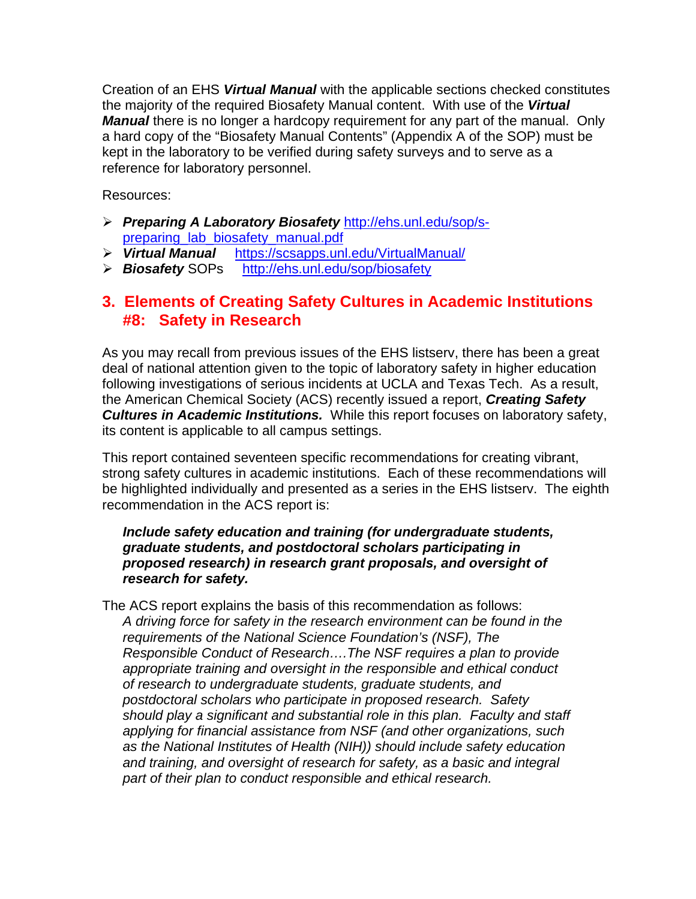Creation of an EHS *Virtual Manual* with the applicable sections checked constitutes the majority of the required Biosafety Manual content. With use of the *Virtual Manual* there is no longer a hardcopy requirement for any part of the manual. Only a hard copy of the "Biosafety Manual Contents" (Appendix A of the SOP) must be kept in the laboratory to be verified during safety surveys and to serve as a reference for laboratory personnel.

Resources:

- *Preparing A Laboratory Biosafety* http://ehs.unl.edu/sop/spreparing\_lab\_biosafety\_manual.pdf
- *Virtual Manual* https://scsapps.unl.edu/VirtualManual/
- *Biosafety* SOPs http://ehs.unl.edu/sop/biosafety

### **3. Elements of Creating Safety Cultures in Academic Institutions #8: Safety in Research**

As you may recall from previous issues of the EHS listserv, there has been a great deal of national attention given to the topic of laboratory safety in higher education following investigations of serious incidents at UCLA and Texas Tech. As a result, the American Chemical Society (ACS) recently issued a report, *Creating Safety Cultures in Academic Institutions.* While this report focuses on laboratory safety, its content is applicable to all campus settings.

This report contained seventeen specific recommendations for creating vibrant, strong safety cultures in academic institutions. Each of these recommendations will be highlighted individually and presented as a series in the EHS listserv. The eighth recommendation in the ACS report is:

#### *Include safety education and training (for undergraduate students, graduate students, and postdoctoral scholars participating in proposed research) in research grant proposals, and oversight of research for safety.*

The ACS report explains the basis of this recommendation as follows: *A driving force for safety in the research environment can be found in the requirements of the National Science Foundation's (NSF), The Responsible Conduct of Research….The NSF requires a plan to provide appropriate training and oversight in the responsible and ethical conduct of research to undergraduate students, graduate students, and postdoctoral scholars who participate in proposed research. Safety should play a significant and substantial role in this plan. Faculty and staff applying for financial assistance from NSF (and other organizations, such as the National Institutes of Health (NIH)) should include safety education and training, and oversight of research for safety, as a basic and integral part of their plan to conduct responsible and ethical research.*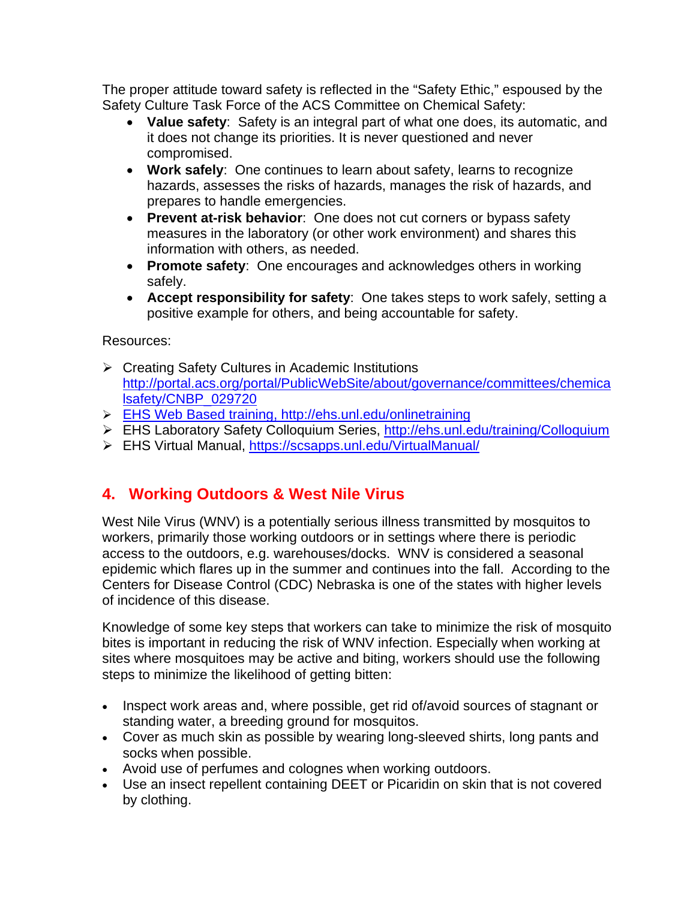The proper attitude toward safety is reflected in the "Safety Ethic," espoused by the Safety Culture Task Force of the ACS Committee on Chemical Safety:

- **Value safety**: Safety is an integral part of what one does, its automatic, and it does not change its priorities. It is never questioned and never compromised.
- **Work safely**: One continues to learn about safety, learns to recognize hazards, assesses the risks of hazards, manages the risk of hazards, and prepares to handle emergencies.
- **Prevent at-risk behavior**: One does not cut corners or bypass safety measures in the laboratory (or other work environment) and shares this information with others, as needed.
- **Promote safety**: One encourages and acknowledges others in working safely.
- **Accept responsibility for safety**: One takes steps to work safely, setting a positive example for others, and being accountable for safety.

#### Resources:

- Creating Safety Cultures in Academic Institutions http://portal.acs.org/portal/PublicWebSite/about/governance/committees/chemica lsafety/CNBP\_029720
- EHS Web Based training, http://ehs.unl.edu/onlinetraining
- EHS Laboratory Safety Colloquium Series, http://ehs.unl.edu/training/Colloquium
- EHS Virtual Manual, https://scsapps.unl.edu/VirtualManual/

## **4. Working Outdoors & West Nile Virus**

West Nile Virus (WNV) is a potentially serious illness transmitted by mosquitos to workers, primarily those working outdoors or in settings where there is periodic access to the outdoors, e.g. warehouses/docks. WNV is considered a seasonal epidemic which flares up in the summer and continues into the fall. According to the Centers for Disease Control (CDC) Nebraska is one of the states with higher levels of incidence of this disease.

Knowledge of some key steps that workers can take to minimize the risk of mosquito bites is important in reducing the risk of WNV infection. Especially when working at sites where mosquitoes may be active and biting, workers should use the following steps to minimize the likelihood of getting bitten:

- Inspect work areas and, where possible, get rid of/avoid sources of stagnant or standing water, a breeding ground for mosquitos.
- Cover as much skin as possible by wearing long-sleeved shirts, long pants and socks when possible.
- Avoid use of perfumes and colognes when working outdoors.
- Use an insect repellent containing DEET or Picaridin on skin that is not covered by clothing.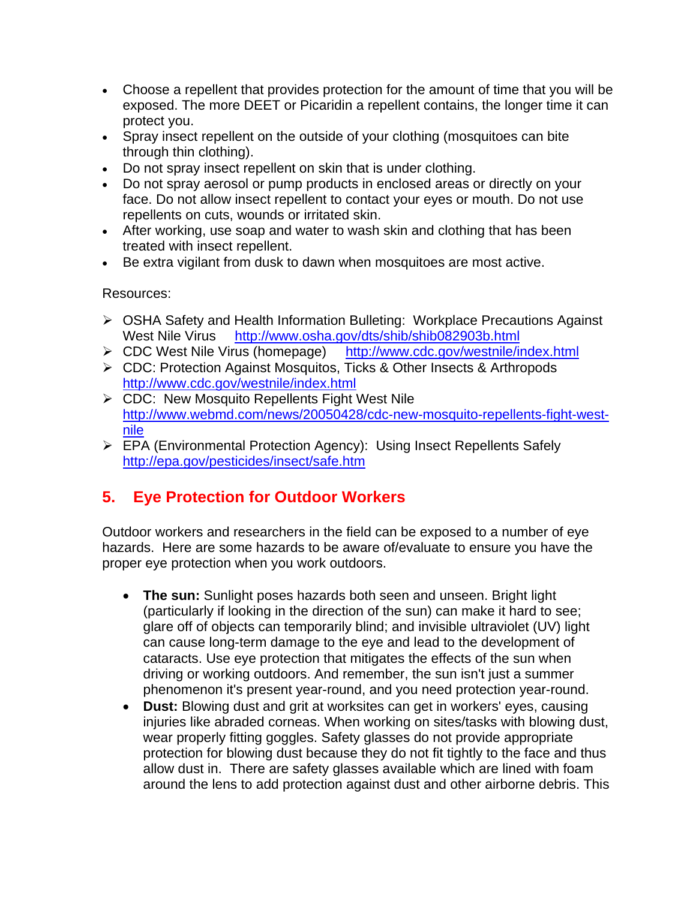- Choose a repellent that provides protection for the amount of time that you will be exposed. The more DEET or Picaridin a repellent contains, the longer time it can protect you.
- Spray insect repellent on the outside of your clothing (mosquitoes can bite through thin clothing).
- Do not spray insect repellent on skin that is under clothing.
- Do not spray aerosol or pump products in enclosed areas or directly on your face. Do not allow insect repellent to contact your eyes or mouth. Do not use repellents on cuts, wounds or irritated skin.
- After working, use soap and water to wash skin and clothing that has been treated with insect repellent.
- Be extra vigilant from dusk to dawn when mosquitoes are most active.

Resources:

- OSHA Safety and Health Information Bulleting: Workplace Precautions Against West Nile Virus http://www.osha.gov/dts/shib/shib082903b.html
- CDC West Nile Virus (homepage) http://www.cdc.gov/westnile/index.html
- ▶ CDC: Protection Against Mosquitos, Ticks & Other Insects & Arthropods http://www.cdc.gov/westnile/index.html
- ▶ CDC: New Mosquito Repellents Fight West Nile http://www.webmd.com/news/20050428/cdc-new-mosquito-repellents-fight-westnile
- EPA (Environmental Protection Agency): Using Insect Repellents Safely http://epa.gov/pesticides/insect/safe.htm

# **5. Eye Protection for Outdoor Workers**

Outdoor workers and researchers in the field can be exposed to a number of eye hazards. Here are some hazards to be aware of/evaluate to ensure you have the proper eye protection when you work outdoors.

- **The sun:** Sunlight poses hazards both seen and unseen. Bright light (particularly if looking in the direction of the sun) can make it hard to see; glare off of objects can temporarily blind; and invisible ultraviolet (UV) light can cause long-term damage to the eye and lead to the development of cataracts. Use eye protection that mitigates the effects of the sun when driving or working outdoors. And remember, the sun isn't just a summer phenomenon it's present year-round, and you need protection year-round.
- **Dust:** Blowing dust and grit at worksites can get in workers' eyes, causing iniuries like abraded corneas. When working on sites/tasks with blowing dust, wear properly fitting goggles. Safety glasses do not provide appropriate protection for blowing dust because they do not fit tightly to the face and thus allow dust in. There are safety glasses available which are lined with foam around the lens to add protection against dust and other airborne debris. This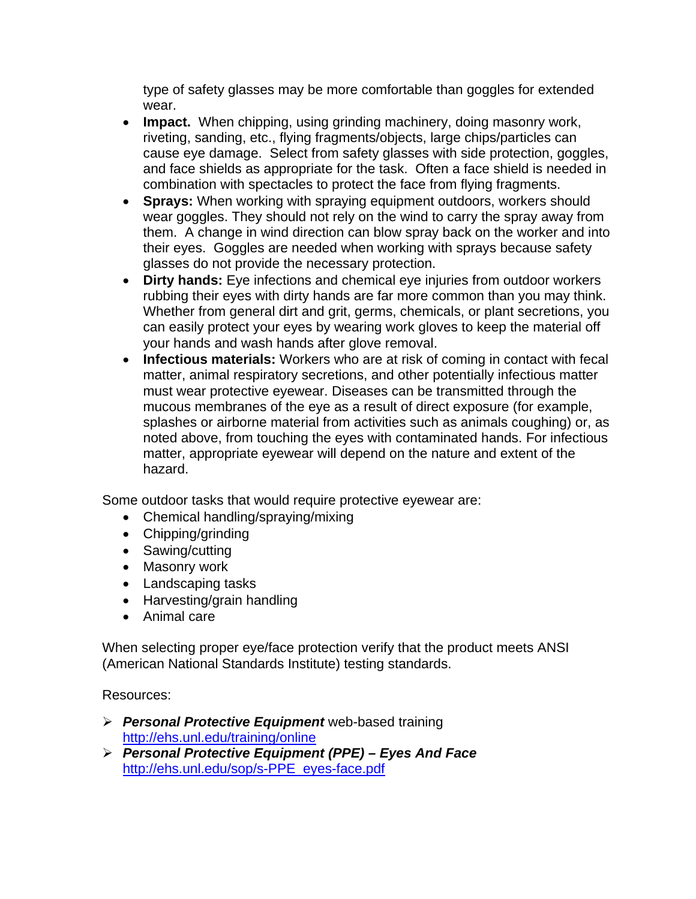type of safety glasses may be more comfortable than goggles for extended wear.

- **Impact.** When chipping, using grinding machinery, doing masonry work, riveting, sanding, etc., flying fragments/objects, large chips/particles can cause eye damage. Select from safety glasses with side protection, goggles, and face shields as appropriate for the task. Often a face shield is needed in combination with spectacles to protect the face from flying fragments.
- **Sprays:** When working with spraying equipment outdoors, workers should wear goggles. They should not rely on the wind to carry the spray away from them. A change in wind direction can blow spray back on the worker and into their eyes. Goggles are needed when working with sprays because safety glasses do not provide the necessary protection.
- **Dirty hands:** Eye infections and chemical eye injuries from outdoor workers rubbing their eyes with dirty hands are far more common than you may think. Whether from general dirt and grit, germs, chemicals, or plant secretions, you can easily protect your eyes by wearing work gloves to keep the material off your hands and wash hands after glove removal.
- **Infectious materials:** Workers who are at risk of coming in contact with fecal matter, animal respiratory secretions, and other potentially infectious matter must wear protective eyewear. Diseases can be transmitted through the mucous membranes of the eye as a result of direct exposure (for example, splashes or airborne material from activities such as animals coughing) or, as noted above, from touching the eyes with contaminated hands. For infectious matter, appropriate eyewear will depend on the nature and extent of the hazard.

Some outdoor tasks that would require protective eyewear are:

- Chemical handling/spraying/mixing
- Chipping/grinding
- Sawing/cutting
- Masonry work
- Landscaping tasks
- Harvesting/grain handling
- Animal care

When selecting proper eye/face protection verify that the product meets ANSI (American National Standards Institute) testing standards.

Resources:

- *Personal Protective Equipment* web-based training http://ehs.unl.edu/training/online
- *Personal Protective Equipment (PPE) Eyes And Face*  http://ehs.unl.edu/sop/s-PPE\_eyes-face.pdf